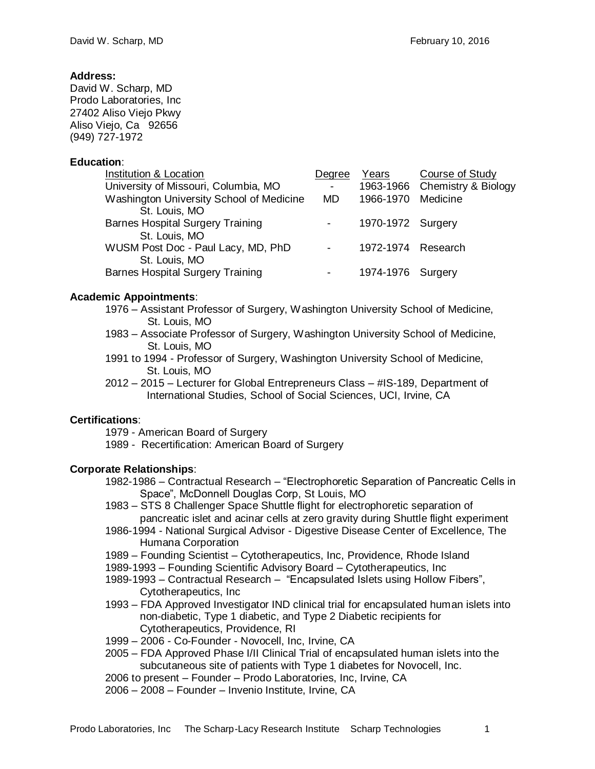# **Address:**

David W. Scharp, MD Prodo Laboratories, Inc 27402 Aliso Viejo Pkwy Aliso Viejo, Ca 92656 (949) 727-1972

# **Education**:

| Institution & Location                   | Degree | Years              | <b>Course of Study</b>        |
|------------------------------------------|--------|--------------------|-------------------------------|
| University of Missouri, Columbia, MO     |        |                    | 1963-1966 Chemistry & Biology |
| Washington University School of Medicine | MD.    | 1966-1970          | Medicine                      |
| St. Louis, MO                            |        |                    |                               |
| <b>Barnes Hospital Surgery Training</b>  |        | 1970-1972 Surgery  |                               |
| St. Louis, MO                            |        |                    |                               |
| WUSM Post Doc - Paul Lacy, MD, PhD       |        | 1972-1974 Research |                               |
| St. Louis, MO                            |        |                    |                               |
| <b>Barnes Hospital Surgery Training</b>  |        | 1974-1976 Surgery  |                               |

# **Academic Appointments**:

1976 – Assistant Professor of Surgery, Washington University School of Medicine, St. Louis, MO

- 1983 Associate Professor of Surgery, Washington University School of Medicine, St. Louis, MO
- 1991 to 1994 Professor of Surgery, Washington University School of Medicine, St. Louis, MO
- 2012 2015 Lecturer for Global Entrepreneurs Class #IS-189, Department of International Studies, School of Social Sciences, UCI, Irvine, CA

# **Certifications**:

1979 - American Board of Surgery

1989 - Recertification: American Board of Surgery

# **Corporate Relationships**:

- 1982-1986 Contractual Research "Electrophoretic Separation of Pancreatic Cells in Space", McDonnell Douglas Corp, St Louis, MO
- 1983 STS 8 Challenger Space Shuttle flight for electrophoretic separation of pancreatic islet and acinar cells at zero gravity during Shuttle flight experiment
- 1986-1994 National Surgical Advisor Digestive Disease Center of Excellence, The Humana Corporation
- 1989 Founding Scientist Cytotherapeutics, Inc, Providence, Rhode Island
- 1989-1993 Founding Scientific Advisory Board Cytotherapeutics, Inc
- 1989-1993 Contractual Research "Encapsulated Islets using Hollow Fibers", Cytotherapeutics, Inc
- 1993 FDA Approved Investigator IND clinical trial for encapsulated human islets into non-diabetic, Type 1 diabetic, and Type 2 Diabetic recipients for Cytotherapeutics, Providence, RI
- 1999 2006 Co-Founder Novocell, Inc, Irvine, CA
- 2005 FDA Approved Phase I/II Clinical Trial of encapsulated human islets into the subcutaneous site of patients with Type 1 diabetes for Novocell, Inc.
- 2006 to present Founder Prodo Laboratories, Inc, Irvine, CA
- 2006 2008 Founder Invenio Institute, Irvine, CA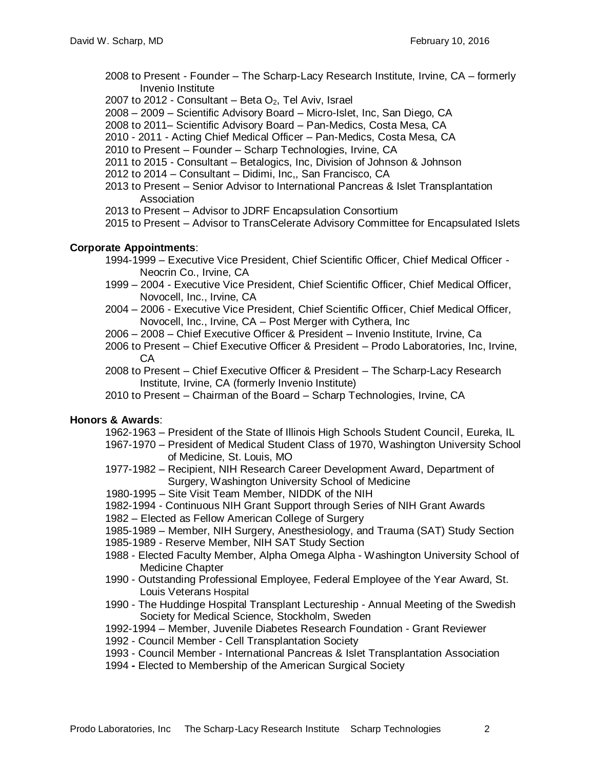- 2008 to Present Founder The Scharp-Lacy Research Institute, Irvine, CA formerly Invenio Institute
- 2007 to 2012 Consultant Beta  $O_2$ , Tel Aviv, Israel
- 2008 2009 Scientific Advisory Board Micro-Islet, Inc, San Diego, CA
- 2008 to 2011– Scientific Advisory Board Pan-Medics, Costa Mesa, CA
- 2010 2011 Acting Chief Medical Officer Pan-Medics, Costa Mesa, CA
- 2010 to Present Founder Scharp Technologies, Irvine, CA
- 2011 to 2015 Consultant Betalogics, Inc, Division of Johnson & Johnson
- 2012 to 2014 Consultant Didimi, Inc,, San Francisco, CA
- 2013 to Present Senior Advisor to International Pancreas & Islet Transplantation **Association**
- 2013 to Present Advisor to JDRF Encapsulation Consortium
- 2015 to Present Advisor to TransCelerate Advisory Committee for Encapsulated Islets

# **Corporate Appointments**:

- 1994-1999 Executive Vice President, Chief Scientific Officer, Chief Medical Officer Neocrin Co., Irvine, CA
- 1999 2004 Executive Vice President, Chief Scientific Officer, Chief Medical Officer, Novocell, Inc., Irvine, CA
- 2004 2006 Executive Vice President, Chief Scientific Officer, Chief Medical Officer, Novocell, Inc., Irvine, CA – Post Merger with Cythera, Inc
- 2006 2008 Chief Executive Officer & President Invenio Institute, Irvine, Ca
- 2006 to Present Chief Executive Officer & President Prodo Laboratories, Inc, Irvine, CA
- 2008 to Present Chief Executive Officer & President The Scharp-Lacy Research Institute, Irvine, CA (formerly Invenio Institute)
- 2010 to Present Chairman of the Board Scharp Technologies, Irvine, CA

# **Honors & Awards**:

- 1962-1963 President of the State of Illinois High Schools Student Council, Eureka, IL
- 1967-1970 President of Medical Student Class of 1970, Washington University School of Medicine, St. Louis, MO
- 1977-1982 Recipient, NIH Research Career Development Award, Department of Surgery, Washington University School of Medicine
- 1980-1995 Site Visit Team Member, NIDDK of the NIH
- 1982-1994 Continuous NIH Grant Support through Series of NIH Grant Awards
- 1982 Elected as Fellow American College of Surgery
- 1985-1989 Member, NIH Surgery, Anesthesiology, and Trauma (SAT) Study Section
- 1985-1989 Reserve Member, NIH SAT Study Section
- 1988 Elected Faculty Member, Alpha Omega Alpha Washington University School of Medicine Chapter
- 1990 Outstanding Professional Employee, Federal Employee of the Year Award, St. Louis Veterans Hospital
- 1990 The Huddinge Hospital Transplant Lectureship Annual Meeting of the Swedish Society for Medical Science, Stockholm, Sweden
- 1992-1994 Member, Juvenile Diabetes Research Foundation Grant Reviewer
- 1992 Council Member Cell Transplantation Society
- 1993 Council Member International Pancreas & Islet Transplantation Association
- 1994 **-** Elected to Membership of the American Surgical Society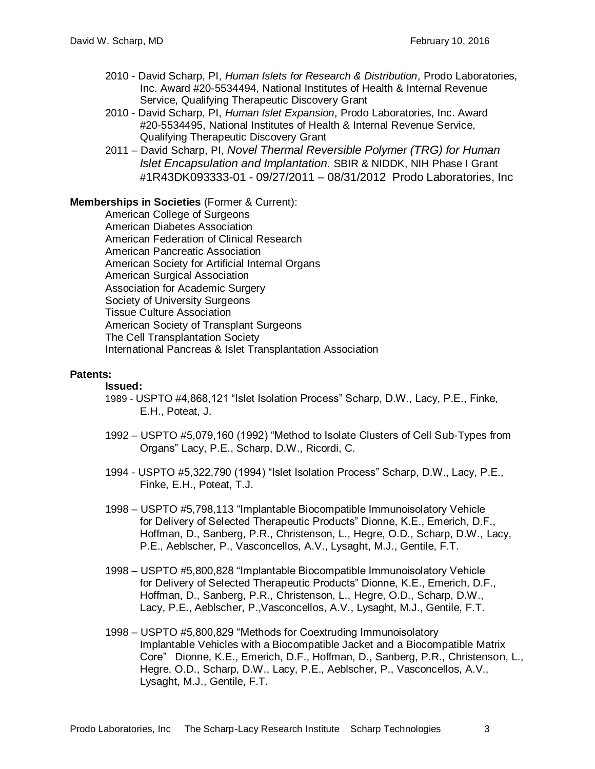- 2010 David Scharp, PI, *Human Islets for Research & Distribution*, Prodo Laboratories, Inc. Award #20-5534494, National Institutes of Health & Internal Revenue Service, Qualifying Therapeutic Discovery Grant
- 2010 David Scharp, PI, *Human Islet Expansion*, Prodo Laboratories, Inc. Award #20-5534495, National Institutes of Health & Internal Revenue Service, Qualifying Therapeutic Discovery Grant
- 2011 David Scharp, PI, *Novel Thermal Reversible Polymer (TRG) for Human Islet Encapsulation and Implantation.* SBIR & NIDDK, NIH Phase I Grant #1R43DK093333-01 - 09/27/2011 – 08/31/2012 Prodo Laboratories, Inc

# **Memberships in Societies** (Former & Current):

American College of Surgeons American Diabetes Association American Federation of Clinical Research American Pancreatic Association American Society for Artificial Internal Organs American Surgical Association Association for Academic Surgery Society of University Surgeons Tissue Culture Association American Society of Transplant Surgeons The Cell Transplantation Society International Pancreas & Islet Transplantation Association

#### **Patents:**

#### **Issued:**

- 1989 USPTO #4,868,121 "Islet Isolation Process" Scharp, D.W., Lacy, P.E., Finke, E.H., Poteat, J.
- 1992 USPTO #5,079,160 (1992) "Method to Isolate Clusters of Cell Sub-Types from Organs" Lacy, P.E., Scharp, D.W., Ricordi, C.
- 1994 USPTO #5,322,790 (1994) "Islet Isolation Process" Scharp, D.W., Lacy, P.E., Finke, E.H., Poteat, T.J.
- 1998 USPTO #5,798,113 "Implantable Biocompatible Immunoisolatory Vehicle for Delivery of Selected Therapeutic Products" Dionne, K.E., Emerich, D.F., Hoffman, D., Sanberg, P.R., Christenson, L., Hegre, O.D., Scharp, D.W., Lacy, P.E., Aeblscher, P., Vasconcellos, A.V., Lysaght, M.J., Gentile, F.T.
- 1998 USPTO #5,800,828 "Implantable Biocompatible Immunoisolatory Vehicle for Delivery of Selected Therapeutic Products" Dionne, K.E., Emerich, D.F., Hoffman, D., Sanberg, P.R., Christenson, L., Hegre, O.D., Scharp, D.W., Lacy, P.E., Aeblscher, P.,Vasconcellos, A.V., Lysaght, M.J., Gentile, F.T.
- 1998 USPTO #5,800,829 "Methods for Coextruding Immunoisolatory Implantable Vehicles with a Biocompatible Jacket and a Biocompatible Matrix Core" Dionne, K.E., Emerich, D.F., Hoffman, D., Sanberg, P.R., Christenson, L., Hegre, O.D., Scharp, D.W., Lacy, P.E., Aeblscher, P., Vasconcellos, A.V., Lysaght, M.J., Gentile, F.T.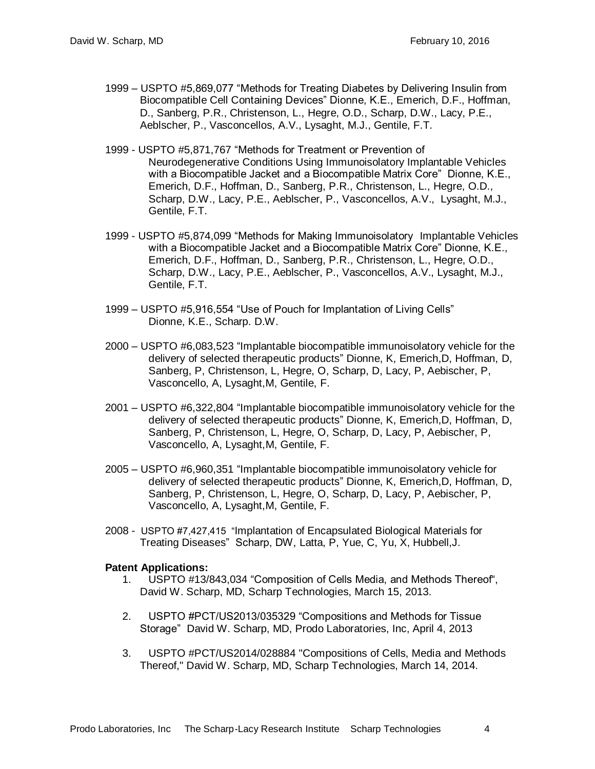- 1999 USPTO #5,869,077 "Methods for Treating Diabetes by Delivering Insulin from Biocompatible Cell Containing Devices" Dionne, K.E., Emerich, D.F., Hoffman, D., Sanberg, P.R., Christenson, L., Hegre, O.D., Scharp, D.W., Lacy, P.E., Aeblscher, P., Vasconcellos, A.V., Lysaght, M.J., Gentile, F.T.
- 1999 USPTO #5,871,767 "Methods for Treatment or Prevention of Neurodegenerative Conditions Using Immunoisolatory Implantable Vehicles with a Biocompatible Jacket and a Biocompatible Matrix Core" Dionne, K.E., Emerich, D.F., Hoffman, D., Sanberg, P.R., Christenson, L., Hegre, O.D., Scharp, D.W., Lacy, P.E., Aeblscher, P., Vasconcellos, A.V., Lysaght, M.J., Gentile, F.T.
- 1999 USPTO #5,874,099 "Methods for Making Immunoisolatory Implantable Vehicles with a Biocompatible Jacket and a Biocompatible Matrix Core" Dionne, K.E., Emerich, D.F., Hoffman, D., Sanberg, P.R., Christenson, L., Hegre, O.D., Scharp, D.W., Lacy, P.E., Aeblscher, P., Vasconcellos, A.V., Lysaght, M.J., Gentile, F.T.
- 1999 USPTO #5,916,554 "Use of Pouch for Implantation of Living Cells" Dionne, K.E., Scharp. D.W.
- 2000 USPTO #6,083,523 "Implantable biocompatible immunoisolatory vehicle for the delivery of selected therapeutic products" Dionne, K, Emerich,D, Hoffman, D, Sanberg, P, Christenson, L, Hegre, O, Scharp, D, Lacy, P, Aebischer, P, Vasconcello, A, Lysaght,M, Gentile, F.
- 2001 USPTO #6,322,804 "Implantable biocompatible immunoisolatory vehicle for the delivery of selected therapeutic products" Dionne, K, Emerich,D, Hoffman, D, Sanberg, P, Christenson, L, Hegre, O, Scharp, D, Lacy, P, Aebischer, P, Vasconcello, A, Lysaght,M, Gentile, F.
- 2005 USPTO #6,960,351 "Implantable biocompatible immunoisolatory vehicle for delivery of selected therapeutic products" Dionne, K, Emerich,D, Hoffman, D, Sanberg, P, Christenson, L, Hegre, O, Scharp, D, Lacy, P, Aebischer, P, Vasconcello, A, Lysaght,M, Gentile, F.
- 2008 USPTO #7,427,415 "Implantation of Encapsulated Biological Materials for Treating Diseases" Scharp, DW, Latta, P, Yue, C, Yu, X, Hubbell,J.

#### **Patent Applications:**

- 1. USPTO #13/843,034 "Composition of Cells Media, and Methods Thereof", David W. Scharp, MD, Scharp Technologies, March 15, 2013.
- 2. USPTO #PCT/US2013/035329 "Compositions and Methods for Tissue Storage" David W. Scharp, MD, Prodo Laboratories, Inc, April 4, 2013
- 3. USPTO #PCT/US2014/028884 "Compositions of Cells, Media and Methods Thereof," David W. Scharp, MD, Scharp Technologies, March 14, 2014.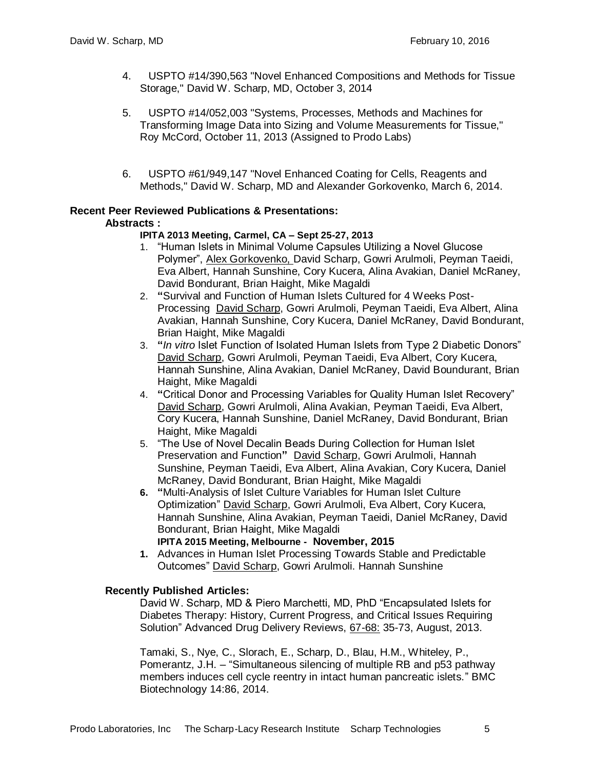- 4. USPTO #14/390,563 "Novel Enhanced Compositions and Methods for Tissue Storage," David W. Scharp, MD, October 3, 2014
- 5. USPTO #14/052,003 "Systems, Processes, Methods and Machines for Transforming Image Data into Sizing and Volume Measurements for Tissue," Roy McCord, October 11, 2013 (Assigned to Prodo Labs)
- 6. USPTO #61/949,147 "Novel Enhanced Coating for Cells, Reagents and Methods," David W. Scharp, MD and Alexander Gorkovenko, March 6, 2014.

# **Recent Peer Reviewed Publications & Presentations:**

# **Abstracts :**

# **IPITA 2013 Meeting, Carmel, CA – Sept 25-27, 2013**

- 1. "Human Islets in Minimal Volume Capsules Utilizing a Novel Glucose Polymer", Alex Gorkovenko, David Scharp, Gowri Arulmoli, Peyman Taeidi, Eva Albert, Hannah Sunshine, Cory Kucera, Alina Avakian, Daniel McRaney, David Bondurant, Brian Haight, Mike Magaldi
- 2. **"**Survival and Function of Human Islets Cultured for 4 Weeks Post-Processing David Scharp, Gowri Arulmoli, Peyman Taeidi, Eva Albert, Alina Avakian, Hannah Sunshine, Cory Kucera, Daniel McRaney, David Bondurant, Brian Haight, Mike Magaldi
- 3. **"***In vitro* Islet Function of Isolated Human Islets from Type 2 Diabetic Donors" David Scharp, Gowri Arulmoli, Peyman Taeidi, Eva Albert, Cory Kucera, Hannah Sunshine, Alina Avakian, Daniel McRaney, David Boundurant, Brian Haight, Mike Magaldi
- 4. **"**Critical Donor and Processing Variables for Quality Human Islet Recovery" David Scharp, Gowri Arulmoli, Alina Avakian, Peyman Taeidi, Eva Albert, Cory Kucera, Hannah Sunshine, Daniel McRaney, David Bondurant, Brian Haight, Mike Magaldi
- 5. "The Use of Novel Decalin Beads During Collection for Human Islet Preservation and Function**"** David Scharp, Gowri Arulmoli, Hannah Sunshine, Peyman Taeidi, Eva Albert, Alina Avakian, Cory Kucera, Daniel McRaney, David Bondurant, Brian Haight, Mike Magaldi
- **6. "**Multi-Analysis of Islet Culture Variables for Human Islet Culture Optimization" David Scharp, Gowri Arulmoli, Eva Albert, Cory Kucera, Hannah Sunshine, Alina Avakian, Peyman Taeidi, Daniel McRaney, David Bondurant, Brian Haight, Mike Magaldi

### **IPITA 2015 Meeting, Melbourne - November, 2015**

**1.** Advances in Human Islet Processing Towards Stable and Predictable Outcomes" David Scharp, Gowri Arulmoli. Hannah Sunshine

#### **Recently Published Articles:**

David W. Scharp, MD & Piero Marchetti, MD, PhD "Encapsulated Islets for Diabetes Therapy: History, Current Progress, and Critical Issues Requiring Solution" Advanced Drug Delivery Reviews, 67-68: 35-73, August, 2013.

Tamaki, S., Nye, C., Slorach, E., Scharp, D., Blau, H.M., Whiteley, P., Pomerantz, J.H. – "Simultaneous silencing of multiple RB and p53 pathway members induces cell cycle reentry in intact human pancreatic islets." BMC Biotechnology 14:86, 2014.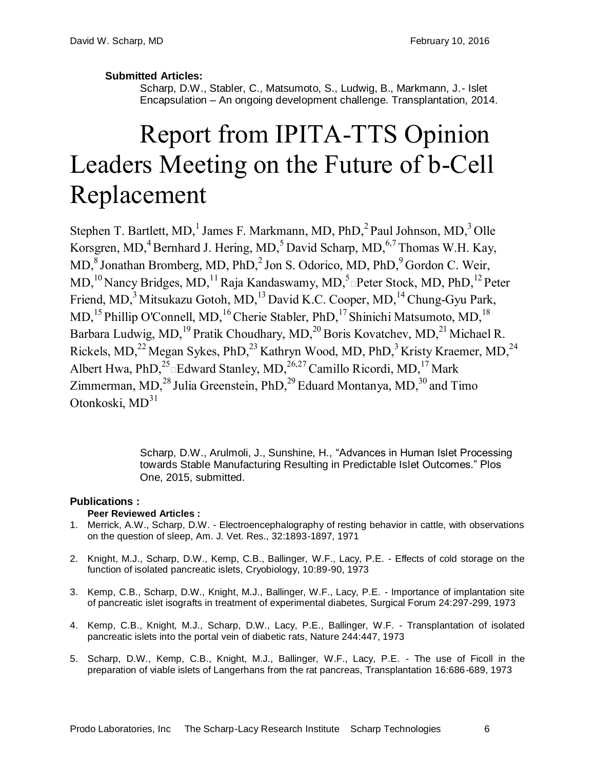**Submitted Articles:**

Scharp, D.W., Stabler, C., Matsumoto, S., Ludwig, B., Markmann, J.- Islet Encapsulation – An ongoing development challenge. Transplantation, 2014.

# Report from IPITA-TTS Opinion Leaders Meeting on the Future of b-Cell Replacement

Stephen T. Bartlett, MD,<sup>1</sup> James F. Markmann, MD,  $PhD$ ,<sup>2</sup>Paul Johnson, MD,<sup>3</sup>Olle Korsgren, MD, $4$ Bernhard J. Hering, MD, $5$ David Scharp, MD, $6,7$ Thomas W.H. Kay, MD,<sup>8</sup> Jonathan Bromberg, MD, PhD,<sup>2</sup> Jon S. Odorico, MD, PhD,<sup>9</sup> Gordon C. Weir,  $MD, ^{10}$ Nancy Bridges, MD,  $^{11}$ Raja Kandaswamy, MD,  $^{5}$ nPeter Stock, MD, PhD,  $^{12}$ Peter Friend, MD,<sup>3</sup> Mitsukazu Gotoh, MD,<sup>13</sup> David K.C. Cooper, MD,<sup>14</sup> Chung-Gyu Park,  $MD<sub>15</sub><sup>15</sup> Philip O'Connell, MD<sub>16</sub><sup>16</sup> Cherie Stabler, PhD<sub>17</sub><sup>17</sup> Shinichi Matsumoto, MD<sub>18</sub>$ Barbara Ludwig, MD,<sup>19</sup> Pratik Choudhary, MD,<sup>20</sup> Boris Kovatchev, MD,<sup>21</sup> Michael R. Rickels, MD,<sup>22</sup> Megan Sykes, PhD,<sup>23</sup> Kathryn Wood, MD, PhD,<sup>3</sup> Kristy Kraemer, MD,<sup>24</sup> Albert Hwa, PhD,  $^{25}$  Edward Stanley, MD,  $^{26,27}$  Camillo Ricordi, MD,  $^{17}$  Mark Zimmerman, MD, $^{28}$  Julia Greenstein, PhD, $^{29}$  Eduard Montanya, MD, $^{30}$  and Timo Otonkoski, MD<sup>31</sup>

> Scharp, D.W., Arulmoli, J., Sunshine, H., "Advances in Human Islet Processing towards Stable Manufacturing Resulting in Predictable Islet Outcomes." Plos One, 2015, submitted.

# **Publications :**

# **Peer Reviewed Articles :**

- 1. Merrick, A.W., Scharp, D.W. Electroencephalography of resting behavior in cattle, with observations on the question of sleep, Am. J. Vet. Res., 32:1893-1897, 1971
- 2. Knight, M.J., Scharp, D.W., Kemp, C.B., Ballinger, W.F., Lacy, P.E. Effects of cold storage on the function of isolated pancreatic islets, Cryobiology, 10:89-90, 1973
- 3. Kemp, C.B., Scharp, D.W., Knight, M.J., Ballinger, W.F., Lacy, P.E. Importance of implantation site of pancreatic islet isografts in treatment of experimental diabetes, Surgical Forum 24:297-299, 1973
- 4. Kemp, C.B., Knight, M.J., Scharp, D.W., Lacy, P.E., Ballinger, W.F. Transplantation of isolated pancreatic islets into the portal vein of diabetic rats, Nature 244:447, 1973
- 5. Scharp, D.W., Kemp, C.B., Knight, M.J., Ballinger, W.F., Lacy, P.E. The use of Ficoll in the preparation of viable islets of Langerhans from the rat pancreas, Transplantation 16:686-689, 1973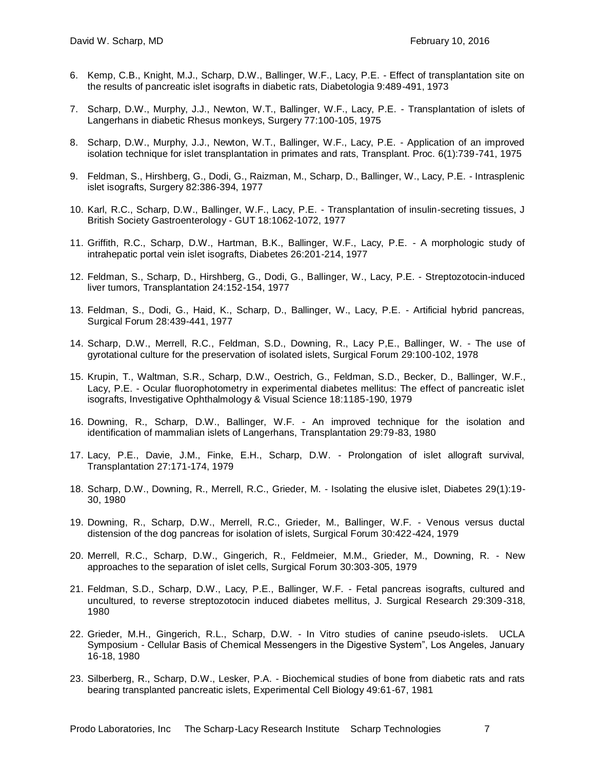- 6. Kemp, C.B., Knight, M.J., Scharp, D.W., Ballinger, W.F., Lacy, P.E. Effect of transplantation site on the results of pancreatic islet isografts in diabetic rats, Diabetologia 9:489-491, 1973
- 7. Scharp, D.W., Murphy, J.J., Newton, W.T., Ballinger, W.F., Lacy, P.E. Transplantation of islets of Langerhans in diabetic Rhesus monkeys, Surgery 77:100-105, 1975
- 8. Scharp, D.W., Murphy, J.J., Newton, W.T., Ballinger, W.F., Lacy, P.E. Application of an improved isolation technique for islet transplantation in primates and rats, Transplant. Proc. 6(1):739-741, 1975
- 9. Feldman, S., Hirshberg, G., Dodi, G., Raizman, M., Scharp, D., Ballinger, W., Lacy, P.E. Intrasplenic islet isografts, Surgery 82:386-394, 1977
- 10. Karl, R.C., Scharp, D.W., Ballinger, W.F., Lacy, P.E. Transplantation of insulin-secreting tissues, J British Society Gastroenterology - GUT 18:1062-1072, 1977
- 11. Griffith, R.C., Scharp, D.W., Hartman, B.K., Ballinger, W.F., Lacy, P.E. A morphologic study of intrahepatic portal vein islet isografts, Diabetes 26:201-214, 1977
- 12. Feldman, S., Scharp, D., Hirshberg, G., Dodi, G., Ballinger, W., Lacy, P.E. Streptozotocin-induced liver tumors, Transplantation 24:152-154, 1977
- 13. Feldman, S., Dodi, G., Haid, K., Scharp, D., Ballinger, W., Lacy, P.E. Artificial hybrid pancreas, Surgical Forum 28:439-441, 1977
- 14. Scharp, D.W., Merrell, R.C., Feldman, S.D., Downing, R., Lacy P,E., Ballinger, W. The use of gyrotational culture for the preservation of isolated islets, Surgical Forum 29:100-102, 1978
- 15. Krupin, T., Waltman, S.R., Scharp, D.W., Oestrich, G., Feldman, S.D., Becker, D., Ballinger, W.F., Lacy, P.E. - Ocular fluorophotometry in experimental diabetes mellitus: The effect of pancreatic islet isografts, Investigative Ophthalmology & Visual Science 18:1185-190, 1979
- 16. Downing, R., Scharp, D.W., Ballinger, W.F. An improved technique for the isolation and identification of mammalian islets of Langerhans, Transplantation 29:79-83, 1980
- 17. Lacy, P.E., Davie, J.M., Finke, E.H., Scharp, D.W. Prolongation of islet allograft survival, Transplantation 27:171-174, 1979
- 18. Scharp, D.W., Downing, R., Merrell, R.C., Grieder, M. Isolating the elusive islet, Diabetes 29(1):19- 30, 1980
- 19. Downing, R., Scharp, D.W., Merrell, R.C., Grieder, M., Ballinger, W.F. Venous versus ductal distension of the dog pancreas for isolation of islets, Surgical Forum 30:422-424, 1979
- 20. Merrell, R.C., Scharp, D.W., Gingerich, R., Feldmeier, M.M., Grieder, M., Downing, R. New approaches to the separation of islet cells, Surgical Forum 30:303-305, 1979
- 21. Feldman, S.D., Scharp, D.W., Lacy, P.E., Ballinger, W.F. Fetal pancreas isografts, cultured and uncultured, to reverse streptozotocin induced diabetes mellitus, J. Surgical Research 29:309-318, 1980
- 22. Grieder, M.H., Gingerich, R.L., Scharp, D.W. In Vitro studies of canine pseudo-islets. UCLA Symposium - Cellular Basis of Chemical Messengers in the Digestive System", Los Angeles, January 16-18, 1980
- 23. Silberberg, R., Scharp, D.W., Lesker, P.A. Biochemical studies of bone from diabetic rats and rats bearing transplanted pancreatic islets, Experimental Cell Biology 49:61-67, 1981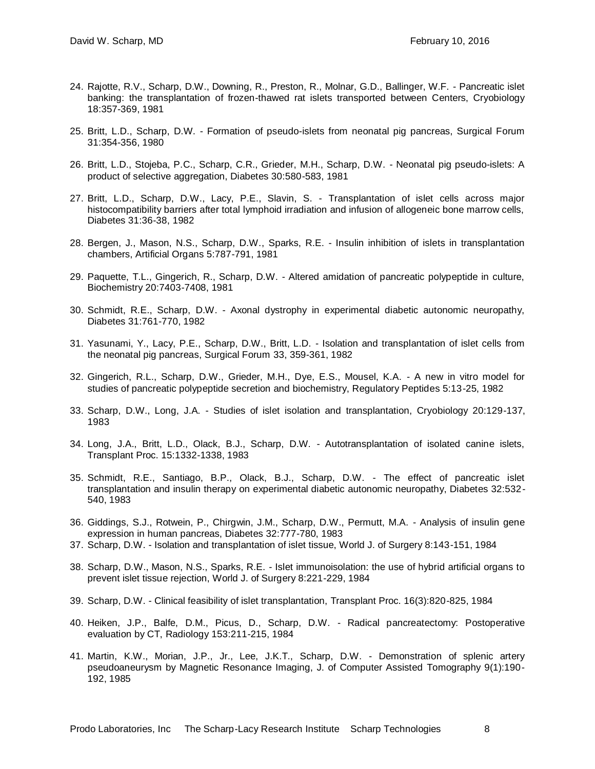- 24. Rajotte, R.V., Scharp, D.W., Downing, R., Preston, R., Molnar, G.D., Ballinger, W.F. Pancreatic islet banking: the transplantation of frozen-thawed rat islets transported between Centers, Cryobiology 18:357-369, 1981
- 25. Britt, L.D., Scharp, D.W. Formation of pseudo-islets from neonatal pig pancreas, Surgical Forum 31:354-356, 1980
- 26. Britt, L.D., Stojeba, P.C., Scharp, C.R., Grieder, M.H., Scharp, D.W. Neonatal pig pseudo-islets: A product of selective aggregation, Diabetes 30:580-583, 1981
- 27. Britt, L.D., Scharp, D.W., Lacy, P.E., Slavin, S. Transplantation of islet cells across major histocompatibility barriers after total lymphoid irradiation and infusion of allogeneic bone marrow cells, Diabetes 31:36-38, 1982
- 28. Bergen, J., Mason, N.S., Scharp, D.W., Sparks, R.E. Insulin inhibition of islets in transplantation chambers, Artificial Organs 5:787-791, 1981
- 29. Paquette, T.L., Gingerich, R., Scharp, D.W. Altered amidation of pancreatic polypeptide in culture, Biochemistry 20:7403-7408, 1981
- 30. Schmidt, R.E., Scharp, D.W. Axonal dystrophy in experimental diabetic autonomic neuropathy, Diabetes 31:761-770, 1982
- 31. Yasunami, Y., Lacy, P.E., Scharp, D.W., Britt, L.D. Isolation and transplantation of islet cells from the neonatal pig pancreas, Surgical Forum 33, 359-361, 1982
- 32. Gingerich, R.L., Scharp, D.W., Grieder, M.H., Dye, E.S., Mousel, K.A. A new in vitro model for studies of pancreatic polypeptide secretion and biochemistry, Regulatory Peptides 5:13-25, 1982
- 33. Scharp, D.W., Long, J.A. Studies of islet isolation and transplantation, Cryobiology 20:129-137, 1983
- 34. Long, J.A., Britt, L.D., Olack, B.J., Scharp, D.W. Autotransplantation of isolated canine islets, Transplant Proc. 15:1332-1338, 1983
- 35. Schmidt, R.E., Santiago, B.P., Olack, B.J., Scharp, D.W. The effect of pancreatic islet transplantation and insulin therapy on experimental diabetic autonomic neuropathy, Diabetes 32:532- 540, 1983
- 36. Giddings, S.J., Rotwein, P., Chirgwin, J.M., Scharp, D.W., Permutt, M.A. Analysis of insulin gene expression in human pancreas, Diabetes 32:777-780, 1983
- 37. Scharp, D.W. Isolation and transplantation of islet tissue, World J. of Surgery 8:143-151, 1984
- 38. Scharp, D.W., Mason, N.S., Sparks, R.E. Islet immunoisolation: the use of hybrid artificial organs to prevent islet tissue rejection, World J. of Surgery 8:221-229, 1984
- 39. Scharp, D.W. Clinical feasibility of islet transplantation, Transplant Proc. 16(3):820-825, 1984
- 40. Heiken, J.P., Balfe, D.M., Picus, D., Scharp, D.W. Radical pancreatectomy: Postoperative evaluation by CT, Radiology 153:211-215, 1984
- 41. Martin, K.W., Morian, J.P., Jr., Lee, J.K.T., Scharp, D.W. Demonstration of splenic artery pseudoaneurysm by Magnetic Resonance Imaging, J. of Computer Assisted Tomography 9(1):190- 192, 1985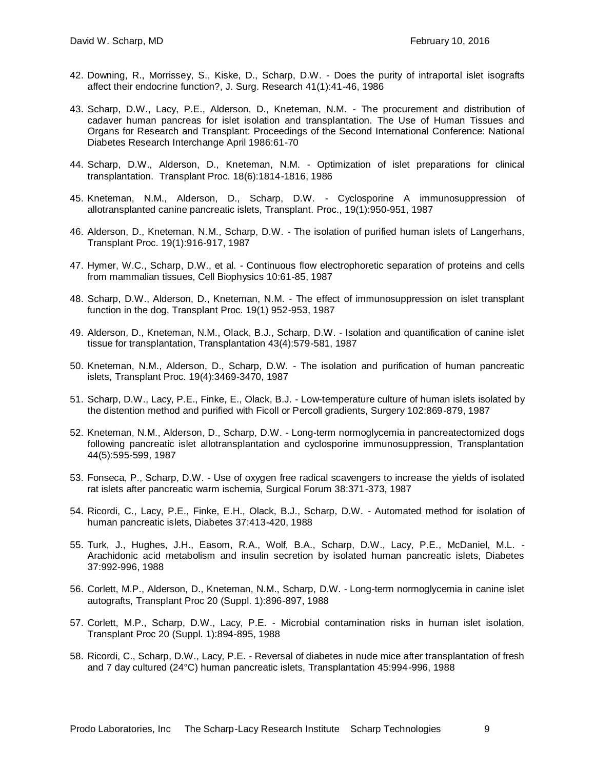- 42. Downing, R., Morrissey, S., Kiske, D., Scharp, D.W. Does the purity of intraportal islet isografts affect their endocrine function?, J. Surg. Research 41(1):41-46, 1986
- 43. Scharp, D.W., Lacy, P.E., Alderson, D., Kneteman, N.M. The procurement and distribution of cadaver human pancreas for islet isolation and transplantation. The Use of Human Tissues and Organs for Research and Transplant: Proceedings of the Second International Conference: National Diabetes Research Interchange April 1986:61-70
- 44. Scharp, D.W., Alderson, D., Kneteman, N.M. Optimization of islet preparations for clinical transplantation. Transplant Proc. 18(6):1814-1816, 1986
- 45. Kneteman, N.M., Alderson, D., Scharp, D.W. Cyclosporine A immunosuppression of allotransplanted canine pancreatic islets, Transplant. Proc., 19(1):950-951, 1987
- 46. Alderson, D., Kneteman, N.M., Scharp, D.W. The isolation of purified human islets of Langerhans, Transplant Proc. 19(1):916-917, 1987
- 47. Hymer, W.C., Scharp, D.W., et al. Continuous flow electrophoretic separation of proteins and cells from mammalian tissues, Cell Biophysics 10:61-85, 1987
- 48. Scharp, D.W., Alderson, D., Kneteman, N.M. The effect of immunosuppression on islet transplant function in the dog, Transplant Proc. 19(1) 952-953, 1987
- 49. Alderson, D., Kneteman, N.M., Olack, B.J., Scharp, D.W. Isolation and quantification of canine islet tissue for transplantation, Transplantation 43(4):579-581, 1987
- 50. Kneteman, N.M., Alderson, D., Scharp, D.W. The isolation and purification of human pancreatic islets, Transplant Proc. 19(4):3469-3470, 1987
- 51. Scharp, D.W., Lacy, P.E., Finke, E., Olack, B.J. Low-temperature culture of human islets isolated by the distention method and purified with Ficoll or Percoll gradients, Surgery 102:869-879, 1987
- 52. Kneteman, N.M., Alderson, D., Scharp, D.W. Long-term normoglycemia in pancreatectomized dogs following pancreatic islet allotransplantation and cyclosporine immunosuppression, Transplantation 44(5):595-599, 1987
- 53. Fonseca, P., Scharp, D.W. Use of oxygen free radical scavengers to increase the yields of isolated rat islets after pancreatic warm ischemia, Surgical Forum 38:371-373, 1987
- 54. Ricordi, C., Lacy, P.E., Finke, E.H., Olack, B.J., Scharp, D.W. Automated method for isolation of human pancreatic islets, Diabetes 37:413-420, 1988
- 55. Turk, J., Hughes, J.H., Easom, R.A., Wolf, B.A., Scharp, D.W., Lacy, P.E., McDaniel, M.L. Arachidonic acid metabolism and insulin secretion by isolated human pancreatic islets, Diabetes 37:992-996, 1988
- 56. Corlett, M.P., Alderson, D., Kneteman, N.M., Scharp, D.W. Long-term normoglycemia in canine islet autografts, Transplant Proc 20 (Suppl. 1):896-897, 1988
- 57. Corlett, M.P., Scharp, D.W., Lacy, P.E. Microbial contamination risks in human islet isolation, Transplant Proc 20 (Suppl. 1):894-895, 1988
- 58. Ricordi, C., Scharp, D.W., Lacy, P.E. Reversal of diabetes in nude mice after transplantation of fresh and 7 day cultured (24°C) human pancreatic islets, Transplantation 45:994-996, 1988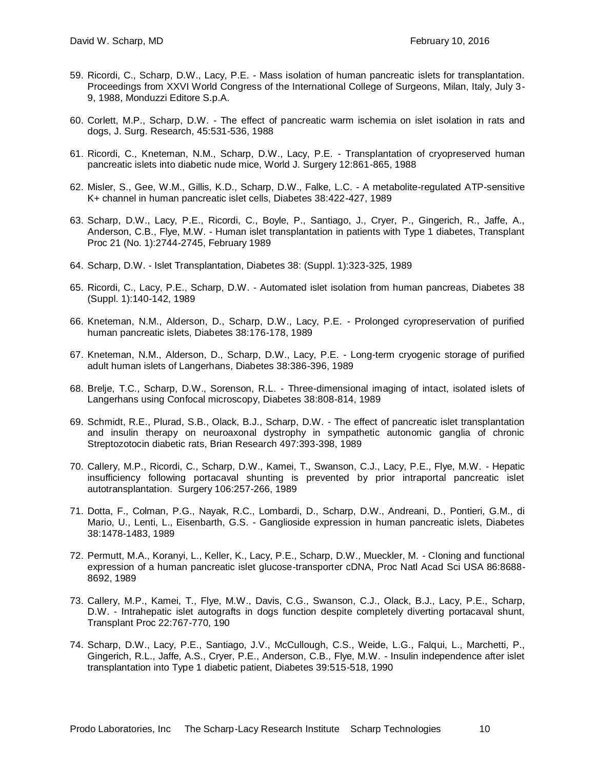- 59. Ricordi, C., Scharp, D.W., Lacy, P.E. Mass isolation of human pancreatic islets for transplantation. Proceedings from XXVI World Congress of the International College of Surgeons, Milan, Italy, July 3- 9, 1988, Monduzzi Editore S.p.A.
- 60. Corlett, M.P., Scharp, D.W. The effect of pancreatic warm ischemia on islet isolation in rats and dogs, J. Surg. Research, 45:531-536, 1988
- 61. Ricordi, C., Kneteman, N.M., Scharp, D.W., Lacy, P.E. Transplantation of cryopreserved human pancreatic islets into diabetic nude mice, World J. Surgery 12:861-865, 1988
- 62. Misler, S., Gee, W.M., Gillis, K.D., Scharp, D.W., Falke, L.C. A metabolite-regulated ATP-sensitive K+ channel in human pancreatic islet cells, Diabetes 38:422-427, 1989
- 63. Scharp, D.W., Lacy, P.E., Ricordi, C., Boyle, P., Santiago, J., Cryer, P., Gingerich, R., Jaffe, A., Anderson, C.B., Flye, M.W. - Human islet transplantation in patients with Type 1 diabetes, Transplant Proc 21 (No. 1):2744-2745, February 1989
- 64. Scharp, D.W. Islet Transplantation, Diabetes 38: (Suppl. 1):323-325, 1989
- 65. Ricordi, C., Lacy, P.E., Scharp, D.W. Automated islet isolation from human pancreas, Diabetes 38 (Suppl. 1):140-142, 1989
- 66. Kneteman, N.M., Alderson, D., Scharp, D.W., Lacy, P.E. Prolonged cyropreservation of purified human pancreatic islets, Diabetes 38:176-178, 1989
- 67. Kneteman, N.M., Alderson, D., Scharp, D.W., Lacy, P.E. Long-term cryogenic storage of purified adult human islets of Langerhans, Diabetes 38:386-396, 1989
- 68. Brelje, T.C., Scharp, D.W., Sorenson, R.L. Three-dimensional imaging of intact, isolated islets of Langerhans using Confocal microscopy, Diabetes 38:808-814, 1989
- 69. Schmidt, R.E., Plurad, S.B., Olack, B.J., Scharp, D.W. The effect of pancreatic islet transplantation and insulin therapy on neuroaxonal dystrophy in sympathetic autonomic ganglia of chronic Streptozotocin diabetic rats, Brian Research 497:393-398, 1989
- 70. Callery, M.P., Ricordi, C., Scharp, D.W., Kamei, T., Swanson, C.J., Lacy, P.E., Flye, M.W. Hepatic insufficiency following portacaval shunting is prevented by prior intraportal pancreatic islet autotransplantation. Surgery 106:257-266, 1989
- 71. Dotta, F., Colman, P.G., Nayak, R.C., Lombardi, D., Scharp, D.W., Andreani, D., Pontieri, G.M., di Mario, U., Lenti, L., Eisenbarth, G.S. - Ganglioside expression in human pancreatic islets, Diabetes 38:1478-1483, 1989
- 72. Permutt, M.A., Koranyi, L., Keller, K., Lacy, P.E., Scharp, D.W., Mueckler, M. Cloning and functional expression of a human pancreatic islet glucose-transporter cDNA, Proc Natl Acad Sci USA 86:8688- 8692, 1989
- 73. Callery, M.P., Kamei, T., Flye, M.W., Davis, C.G., Swanson, C.J., Olack, B.J., Lacy, P.E., Scharp, D.W. - Intrahepatic islet autografts in dogs function despite completely diverting portacaval shunt, Transplant Proc 22:767-770, 190
- 74. Scharp, D.W., Lacy, P.E., Santiago, J.V., McCullough, C.S., Weide, L.G., Falqui, L., Marchetti, P., Gingerich, R.L., Jaffe, A.S., Cryer, P.E., Anderson, C.B., Flye, M.W. - Insulin independence after islet transplantation into Type 1 diabetic patient, Diabetes 39:515-518, 1990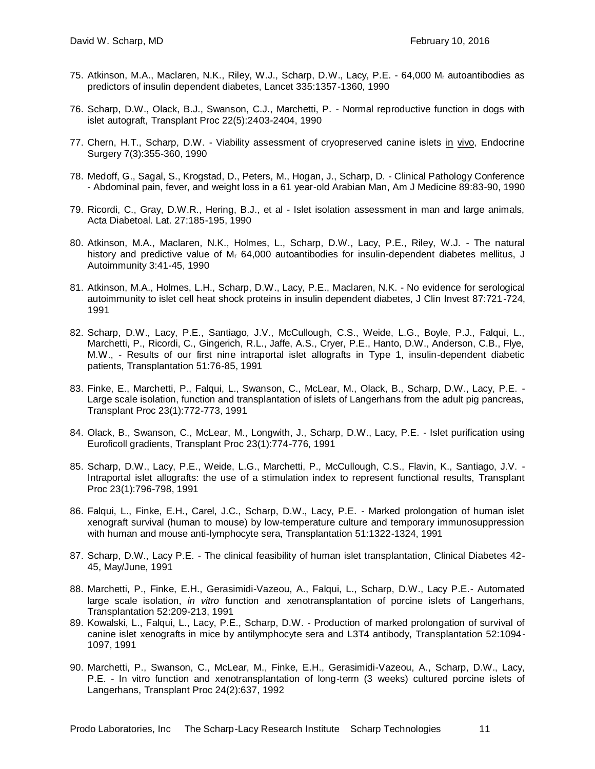- 75. Atkinson, M.A., Maclaren, N.K., Riley, W.J., Scharp, D.W., Lacy, P.E. 64,000 M<sup>r</sup> autoantibodies as predictors of insulin dependent diabetes, Lancet 335:1357-1360, 1990
- 76. Scharp, D.W., Olack, B.J., Swanson, C.J., Marchetti, P. Normal reproductive function in dogs with islet autograft, Transplant Proc 22(5):2403-2404, 1990
- 77. Chern, H.T., Scharp, D.W. Viability assessment of cryopreserved canine islets in vivo, Endocrine Surgery 7(3):355-360, 1990
- 78. Medoff, G., Sagal, S., Krogstad, D., Peters, M., Hogan, J., Scharp, D. Clinical Pathology Conference - Abdominal pain, fever, and weight loss in a 61 year-old Arabian Man, Am J Medicine 89:83-90, 1990
- 79. Ricordi, C., Gray, D.W.R., Hering, B.J., et al Islet isolation assessment in man and large animals, Acta Diabetoal. Lat. 27:185-195, 1990
- 80. Atkinson, M.A., Maclaren, N.K., Holmes, L., Scharp, D.W., Lacy, P.E., Riley, W.J. The natural history and predictive value of M<sub>r</sub> 64,000 autoantibodies for insulin-dependent diabetes mellitus, J Autoimmunity 3:41-45, 1990
- 81. Atkinson, M.A., Holmes, L.H., Scharp, D.W., Lacy, P.E., Maclaren, N.K. No evidence for serological autoimmunity to islet cell heat shock proteins in insulin dependent diabetes, J Clin Invest 87:721-724, 1991
- 82. Scharp, D.W., Lacy, P.E., Santiago, J.V., McCullough, C.S., Weide, L.G., Boyle, P.J., Falqui, L., Marchetti, P., Ricordi, C., Gingerich, R.L., Jaffe, A.S., Cryer, P.E., Hanto, D.W., Anderson, C.B., Flye, M.W., - Results of our first nine intraportal islet allografts in Type 1, insulin-dependent diabetic patients, Transplantation 51:76-85, 1991
- 83. Finke, E., Marchetti, P., Falqui, L., Swanson, C., McLear, M., Olack, B., Scharp, D.W., Lacy, P.E. Large scale isolation, function and transplantation of islets of Langerhans from the adult pig pancreas, Transplant Proc 23(1):772-773, 1991
- 84. Olack, B., Swanson, C., McLear, M., Longwith, J., Scharp, D.W., Lacy, P.E. Islet purification using Euroficoll gradients, Transplant Proc 23(1):774-776, 1991
- 85. Scharp, D.W., Lacy, P.E., Weide, L.G., Marchetti, P., McCullough, C.S., Flavin, K., Santiago, J.V. Intraportal islet allografts: the use of a stimulation index to represent functional results, Transplant Proc 23(1):796-798, 1991
- 86. Falqui, L., Finke, E.H., Carel, J.C., Scharp, D.W., Lacy, P.E. Marked prolongation of human islet xenograft survival (human to mouse) by low-temperature culture and temporary immunosuppression with human and mouse anti-lymphocyte sera, Transplantation 51:1322-1324, 1991
- 87. Scharp, D.W., Lacy P.E. The clinical feasibility of human islet transplantation, Clinical Diabetes 42- 45, May/June, 1991
- 88. Marchetti, P., Finke, E.H., Gerasimidi-Vazeou, A., Falqui, L., Scharp, D.W., Lacy P.E.- Automated large scale isolation, *in vitro* function and xenotransplantation of porcine islets of Langerhans, Transplantation 52:209-213, 1991
- 89. Kowalski, L., Falqui, L., Lacy, P.E., Scharp, D.W. Production of marked prolongation of survival of canine islet xenografts in mice by antilymphocyte sera and L3T4 antibody, Transplantation 52:1094- 1097, 1991
- 90. Marchetti, P., Swanson, C., McLear, M., Finke, E.H., Gerasimidi-Vazeou, A., Scharp, D.W., Lacy, P.E. - In vitro function and xenotransplantation of long-term (3 weeks) cultured porcine islets of Langerhans, Transplant Proc 24(2):637, 1992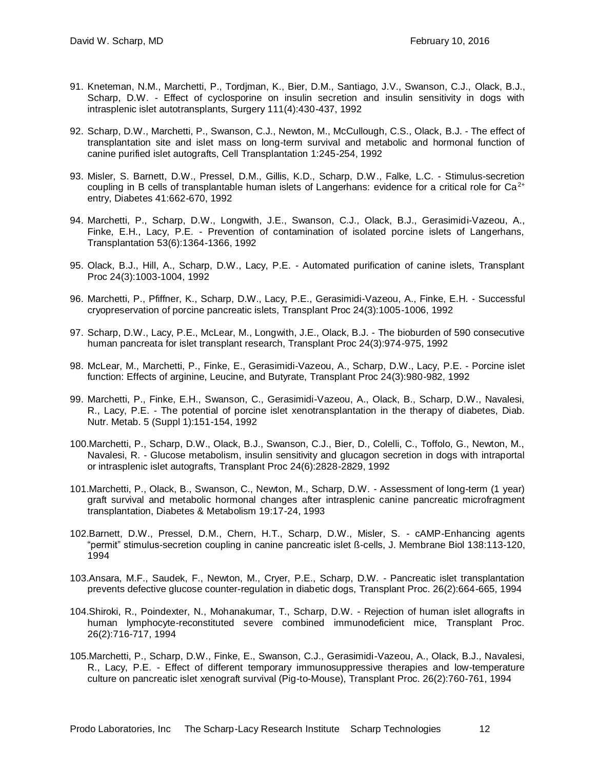- 91. Kneteman, N.M., Marchetti, P., Tordjman, K., Bier, D.M., Santiago, J.V., Swanson, C.J., Olack, B.J., Scharp, D.W. - Effect of cyclosporine on insulin secretion and insulin sensitivity in dogs with intrasplenic islet autotransplants, Surgery 111(4):430-437, 1992
- 92. Scharp, D.W., Marchetti, P., Swanson, C.J., Newton, M., McCullough, C.S., Olack, B.J. The effect of transplantation site and islet mass on long-term survival and metabolic and hormonal function of canine purified islet autografts, Cell Transplantation 1:245-254, 1992
- 93. Misler, S. Barnett, D.W., Pressel, D.M., Gillis, K.D., Scharp, D.W., Falke, L.C. Stimulus-secretion coupling in B cells of transplantable human islets of Langerhans: evidence for a critical role for  $Ca<sup>2+</sup>$ entry, Diabetes 41:662-670, 1992
- 94. Marchetti, P., Scharp, D.W., Longwith, J.E., Swanson, C.J., Olack, B.J., Gerasimidi-Vazeou, A., Finke, E.H., Lacy, P.E. - Prevention of contamination of isolated porcine islets of Langerhans, Transplantation 53(6):1364-1366, 1992
- 95. Olack, B.J., Hill, A., Scharp, D.W., Lacy, P.E. Automated purification of canine islets, Transplant Proc 24(3):1003-1004, 1992
- 96. Marchetti, P., Pfiffner, K., Scharp, D.W., Lacy, P.E., Gerasimidi-Vazeou, A., Finke, E.H. Successful cryopreservation of porcine pancreatic islets, Transplant Proc 24(3):1005-1006, 1992
- 97. Scharp, D.W., Lacy, P.E., McLear, M., Longwith, J.E., Olack, B.J. The bioburden of 590 consecutive human pancreata for islet transplant research, Transplant Proc 24(3):974-975, 1992
- 98. McLear, M., Marchetti, P., Finke, E., Gerasimidi-Vazeou, A., Scharp, D.W., Lacy, P.E. Porcine islet function: Effects of arginine, Leucine, and Butyrate, Transplant Proc 24(3):980-982, 1992
- 99. Marchetti, P., Finke, E.H., Swanson, C., Gerasimidi-Vazeou, A., Olack, B., Scharp, D.W., Navalesi, R., Lacy, P.E. - The potential of porcine islet xenotransplantation in the therapy of diabetes, Diab. Nutr. Metab. 5 (Suppl 1):151-154, 1992
- 100.Marchetti, P., Scharp, D.W., Olack, B.J., Swanson, C.J., Bier, D., Colelli, C., Toffolo, G., Newton, M., Navalesi, R. - Glucose metabolism, insulin sensitivity and glucagon secretion in dogs with intraportal or intrasplenic islet autografts, Transplant Proc 24(6):2828-2829, 1992
- 101.Marchetti, P., Olack, B., Swanson, C., Newton, M., Scharp, D.W. Assessment of long-term (1 year) graft survival and metabolic hormonal changes after intrasplenic canine pancreatic microfragment transplantation, Diabetes & Metabolism 19:17-24, 1993
- 102.Barnett, D.W., Pressel, D.M., Chern, H.T., Scharp, D.W., Misler, S. cAMP-Enhancing agents "permit" stimulus-secretion coupling in canine pancreatic islet ß-cells, J. Membrane Biol 138:113-120, 1994
- 103.Ansara, M.F., Saudek, F., Newton, M., Cryer, P.E., Scharp, D.W. Pancreatic islet transplantation prevents defective glucose counter-regulation in diabetic dogs, Transplant Proc. 26(2):664-665, 1994
- 104.Shiroki, R., Poindexter, N., Mohanakumar, T., Scharp, D.W. Rejection of human islet allografts in human lymphocyte-reconstituted severe combined immunodeficient mice, Transplant Proc. 26(2):716-717, 1994
- 105.Marchetti, P., Scharp, D.W., Finke, E., Swanson, C.J., Gerasimidi-Vazeou, A., Olack, B.J., Navalesi, R., Lacy, P.E. - Effect of different temporary immunosuppressive therapies and low-temperature culture on pancreatic islet xenograft survival (Pig-to-Mouse), Transplant Proc. 26(2):760-761, 1994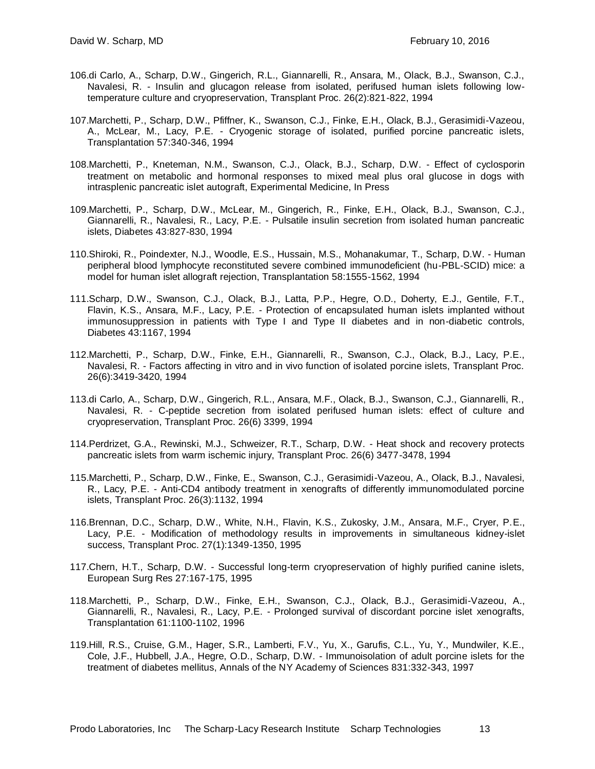- 106.di Carlo, A., Scharp, D.W., Gingerich, R.L., Giannarelli, R., Ansara, M., Olack, B.J., Swanson, C.J., Navalesi, R. - Insulin and glucagon release from isolated, perifused human islets following lowtemperature culture and cryopreservation, Transplant Proc. 26(2):821-822, 1994
- 107.Marchetti, P., Scharp, D.W., Pfiffner, K., Swanson, C.J., Finke, E.H., Olack, B.J., Gerasimidi-Vazeou, A., McLear, M., Lacy, P.E. - Cryogenic storage of isolated, purified porcine pancreatic islets, Transplantation 57:340-346, 1994
- 108.Marchetti, P., Kneteman, N.M., Swanson, C.J., Olack, B.J., Scharp, D.W. Effect of cyclosporin treatment on metabolic and hormonal responses to mixed meal plus oral glucose in dogs with intrasplenic pancreatic islet autograft, Experimental Medicine, In Press
- 109.Marchetti, P., Scharp, D.W., McLear, M., Gingerich, R., Finke, E.H., Olack, B.J., Swanson, C.J., Giannarelli, R., Navalesi, R., Lacy, P.E. - Pulsatile insulin secretion from isolated human pancreatic islets, Diabetes 43:827-830, 1994
- 110.Shiroki, R., Poindexter, N.J., Woodle, E.S., Hussain, M.S., Mohanakumar, T., Scharp, D.W. Human peripheral blood lymphocyte reconstituted severe combined immunodeficient (hu-PBL-SCID) mice: a model for human islet allograft rejection, Transplantation 58:1555-1562, 1994
- 111.Scharp, D.W., Swanson, C.J., Olack, B.J., Latta, P.P., Hegre, O.D., Doherty, E.J., Gentile, F.T., Flavin, K.S., Ansara, M.F., Lacy, P.E. - Protection of encapsulated human islets implanted without immunosuppression in patients with Type I and Type II diabetes and in non-diabetic controls, Diabetes 43:1167, 1994
- 112.Marchetti, P., Scharp, D.W., Finke, E.H., Giannarelli, R., Swanson, C.J., Olack, B.J., Lacy, P.E., Navalesi, R. - Factors affecting in vitro and in vivo function of isolated porcine islets, Transplant Proc. 26(6):3419-3420, 1994
- 113.di Carlo, A., Scharp, D.W., Gingerich, R.L., Ansara, M.F., Olack, B.J., Swanson, C.J., Giannarelli, R., Navalesi, R. - C-peptide secretion from isolated perifused human islets: effect of culture and cryopreservation, Transplant Proc. 26(6) 3399, 1994
- 114.Perdrizet, G.A., Rewinski, M.J., Schweizer, R.T., Scharp, D.W. Heat shock and recovery protects pancreatic islets from warm ischemic injury, Transplant Proc. 26(6) 3477-3478, 1994
- 115.Marchetti, P., Scharp, D.W., Finke, E., Swanson, C.J., Gerasimidi-Vazeou, A., Olack, B.J., Navalesi, R., Lacy, P.E. - Anti-CD4 antibody treatment in xenografts of differently immunomodulated porcine islets, Transplant Proc. 26(3):1132, 1994
- 116.Brennan, D.C., Scharp, D.W., White, N.H., Flavin, K.S., Zukosky, J.M., Ansara, M.F., Cryer, P.E., Lacy, P.E. - Modification of methodology results in improvements in simultaneous kidney-islet success, Transplant Proc. 27(1):1349-1350, 1995
- 117.Chern, H.T., Scharp, D.W. Successful long-term cryopreservation of highly purified canine islets, European Surg Res 27:167-175, 1995
- 118.Marchetti, P., Scharp, D.W., Finke, E.H., Swanson, C.J., Olack, B.J., Gerasimidi-Vazeou, A., Giannarelli, R., Navalesi, R., Lacy, P.E. - Prolonged survival of discordant porcine islet xenografts, Transplantation 61:1100-1102, 1996
- 119.Hill, R.S., Cruise, G.M., Hager, S.R., Lamberti, F.V., Yu, X., Garufis, C.L., Yu, Y., Mundwiler, K.E., Cole, J.F., Hubbell, J.A., Hegre, O.D., Scharp, D.W. - Immunoisolation of adult porcine islets for the treatment of diabetes mellitus, Annals of the NY Academy of Sciences 831:332-343, 1997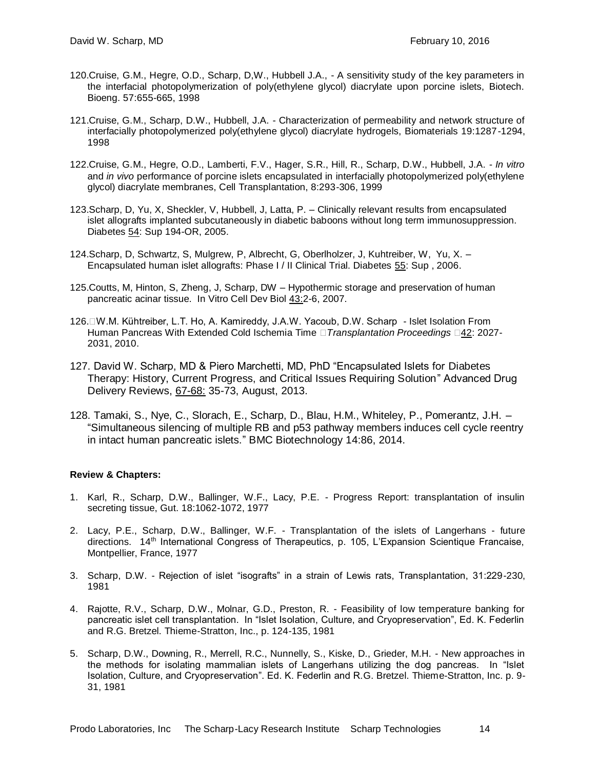- 120.Cruise, G.M., Hegre, O.D., Scharp, D,W., Hubbell J.A., A sensitivity study of the key parameters in the interfacial photopolymerization of poly(ethylene glycol) diacrylate upon porcine islets, Biotech. Bioeng. 57:655-665, 1998
- 121.Cruise, G.M., Scharp, D.W., Hubbell, J.A. Characterization of permeability and network structure of interfacially photopolymerized poly(ethylene glycol) diacrylate hydrogels, Biomaterials 19:1287-1294, 1998
- 122.Cruise, G.M., Hegre, O.D., Lamberti, F.V., Hager, S.R., Hill, R., Scharp, D.W., Hubbell, J.A. *In vitro* and *in vivo* performance of porcine islets encapsulated in interfacially photopolymerized poly(ethylene glycol) diacrylate membranes, Cell Transplantation, 8:293-306, 1999
- 123.Scharp, D, Yu, X, Sheckler, V, Hubbell, J, Latta, P. Clinically relevant results from encapsulated islet allografts implanted subcutaneously in diabetic baboons without long term immunosuppression. Diabetes 54: Sup 194-OR, 2005.
- 124.Scharp, D, Schwartz, S, Mulgrew, P, Albrecht, G, Oberlholzer, J, Kuhtreiber, W, Yu, X. Encapsulated human islet allografts: Phase I / II Clinical Trial. Diabetes 55: Sup , 2006.
- 125.Coutts, M, Hinton, S, Zheng, J, Scharp, DW Hypothermic storage and preservation of human pancreatic acinar tissue. In Vitro Cell Dev Biol 43:2-6, 2007.
- 126.
W.M. Kühtreiber, L.T. Ho, A. Kamireddy, J.A.W. Yacoub, D.W. Scharp Islet Isolation From Human Pancreas With Extended Cold Ischemia Time *Transplantation Proceedings* 42: 2027- 2031, 2010.
- 127. David W. Scharp, MD & Piero Marchetti, MD, PhD "Encapsulated Islets for Diabetes Therapy: History, Current Progress, and Critical Issues Requiring Solution" Advanced Drug Delivery Reviews, 67-68: 35-73, August, 2013.
- 128. Tamaki, S., Nye, C., Slorach, E., Scharp, D., Blau, H.M., Whiteley, P., Pomerantz, J.H. "Simultaneous silencing of multiple RB and p53 pathway members induces cell cycle reentry in intact human pancreatic islets." BMC Biotechnology 14:86, 2014.

#### **Review & Chapters:**

- 1. Karl, R., Scharp, D.W., Ballinger, W.F., Lacy, P.E. Progress Report: transplantation of insulin secreting tissue, Gut. 18:1062-1072, 1977
- 2. Lacy, P.E., Scharp, D.W., Ballinger, W.F. Transplantation of the islets of Langerhans future directions. 14th International Congress of Therapeutics, p. 105, L'Expansion Scientique Francaise, Montpellier, France, 1977
- 3. Scharp, D.W. Rejection of islet "isografts" in a strain of Lewis rats, Transplantation, 31:229-230, 1981
- 4. Rajotte, R.V., Scharp, D.W., Molnar, G.D., Preston, R. Feasibility of low temperature banking for pancreatic islet cell transplantation. In "Islet Isolation, Culture, and Cryopreservation", Ed. K. Federlin and R.G. Bretzel. Thieme-Stratton, Inc., p. 124-135, 1981
- 5. Scharp, D.W., Downing, R., Merrell, R.C., Nunnelly, S., Kiske, D., Grieder, M.H. New approaches in the methods for isolating mammalian islets of Langerhans utilizing the dog pancreas. In "Islet Isolation, Culture, and Cryopreservation". Ed. K. Federlin and R.G. Bretzel. Thieme-Stratton, Inc. p. 9- 31, 1981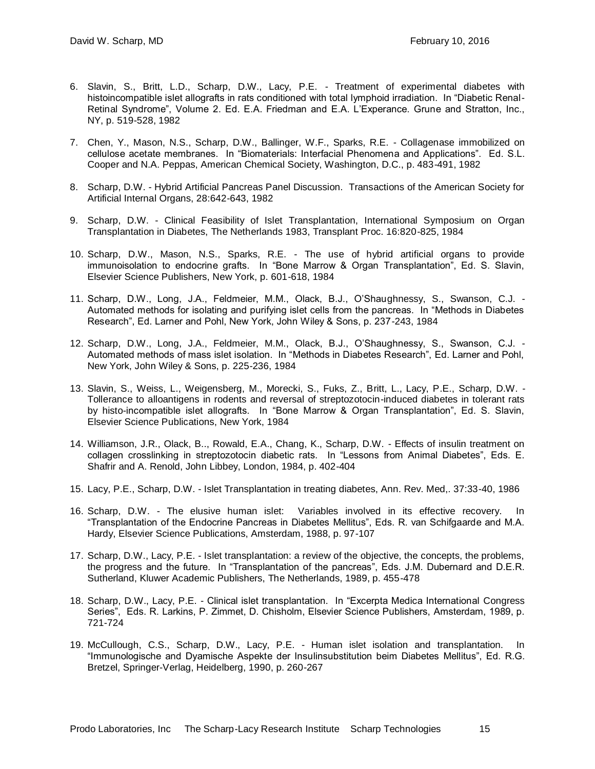- 6. Slavin, S., Britt, L.D., Scharp, D.W., Lacy, P.E. Treatment of experimental diabetes with histoincompatible islet allografts in rats conditioned with total lymphoid irradiation. In "Diabetic Renal-Retinal Syndrome", Volume 2. Ed. E.A. Friedman and E.A. L'Experance. Grune and Stratton, Inc., NY, p. 519-528, 1982
- 7. Chen, Y., Mason, N.S., Scharp, D.W., Ballinger, W.F., Sparks, R.E. Collagenase immobilized on cellulose acetate membranes. In "Biomaterials: Interfacial Phenomena and Applications". Ed. S.L. Cooper and N.A. Peppas, American Chemical Society, Washington, D.C., p. 483-491, 1982
- 8. Scharp, D.W. Hybrid Artificial Pancreas Panel Discussion. Transactions of the American Society for Artificial Internal Organs, 28:642-643, 1982
- 9. Scharp, D.W. Clinical Feasibility of Islet Transplantation, International Symposium on Organ Transplantation in Diabetes, The Netherlands 1983, Transplant Proc. 16:820-825, 1984
- 10. Scharp, D.W., Mason, N.S., Sparks, R.E. The use of hybrid artificial organs to provide immunoisolation to endocrine grafts. In "Bone Marrow & Organ Transplantation", Ed. S. Slavin, Elsevier Science Publishers, New York, p. 601-618, 1984
- 11. Scharp, D.W., Long, J.A., Feldmeier, M.M., Olack, B.J., O'Shaughnessy, S., Swanson, C.J. Automated methods for isolating and purifying islet cells from the pancreas. In "Methods in Diabetes Research", Ed. Larner and Pohl, New York, John Wiley & Sons, p. 237-243, 1984
- 12. Scharp, D.W., Long, J.A., Feldmeier, M.M., Olack, B.J., O'Shaughnessy, S., Swanson, C.J. Automated methods of mass islet isolation. In "Methods in Diabetes Research", Ed. Larner and Pohl, New York, John Wiley & Sons, p. 225-236, 1984
- 13. Slavin, S., Weiss, L., Weigensberg, M., Morecki, S., Fuks, Z., Britt, L., Lacy, P.E., Scharp, D.W. Tollerance to alloantigens in rodents and reversal of streptozotocin-induced diabetes in tolerant rats by histo-incompatible islet allografts. In "Bone Marrow & Organ Transplantation", Ed. S. Slavin, Elsevier Science Publications, New York, 1984
- 14. Williamson, J.R., Olack, B.., Rowald, E.A., Chang, K., Scharp, D.W. Effects of insulin treatment on collagen crosslinking in streptozotocin diabetic rats. In "Lessons from Animal Diabetes", Eds. E. Shafrir and A. Renold, John Libbey, London, 1984, p. 402-404
- 15. Lacy, P.E., Scharp, D.W. Islet Transplantation in treating diabetes, Ann. Rev. Med,. 37:33-40, 1986
- 16. Scharp, D.W. The elusive human islet: Variables involved in its effective recovery. In "Transplantation of the Endocrine Pancreas in Diabetes Mellitus", Eds. R. van Schifgaarde and M.A. Hardy, Elsevier Science Publications, Amsterdam, 1988, p. 97-107
- 17. Scharp, D.W., Lacy, P.E. Islet transplantation: a review of the objective, the concepts, the problems, the progress and the future. In "Transplantation of the pancreas", Eds. J.M. Dubernard and D.E.R. Sutherland, Kluwer Academic Publishers, The Netherlands, 1989, p. 455-478
- 18. Scharp, D.W., Lacy, P.E. Clinical islet transplantation. In "Excerpta Medica International Congress Series", Eds. R. Larkins, P. Zimmet, D. Chisholm, Elsevier Science Publishers, Amsterdam, 1989, p. 721-724
- 19. McCullough, C.S., Scharp, D.W., Lacy, P.E. Human islet isolation and transplantation. In "Immunologische and Dyamische Aspekte der Insulinsubstitution beim Diabetes Mellitus", Ed. R.G. Bretzel, Springer-Verlag, Heidelberg, 1990, p. 260-267